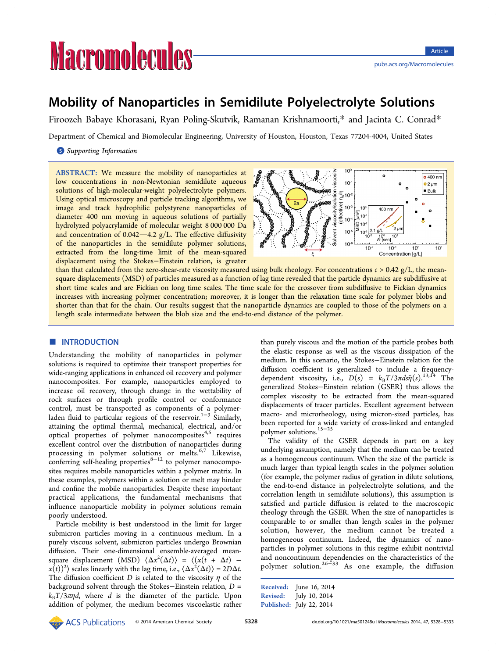# **Macromolecules**

# Mobility of Nanoparticles in Semidilute Polyelectrolyte Solutions

Firoozeh Babaye Khorasani, Ryan Poling-Skutvik, Ramanan Krishnamoorti,\* and Jacinta C. Conrad\*

Department of Chemical and Biomolecular Engineering, University of Houston, Houston, Te[xa](#page-4-0)s 77204-4004, United States

# **S** Supporting Information

[AB](#page-4-0)STRACT: [We measure](#page-4-0) the mobility of nanoparticles at low concentrations in non-Newtonian semidilute aqueous solutions of high-molecular-weight polyelectrolyte polymers. Using optical microscopy and particle tracking algorithms, we image and track hydrophilic polystyrene nanoparticles of diameter 400 nm moving in aqueous solutions of partially hydrolyzed polyacrylamide of molecular weight 8 000 000 Da and concentration of  $0.042 - 4.2$  g/L. The effective diffusivity of the nanoparticles in the semidilute polymer solutions, extracted from the long-time limit of the mean-squared displacement using the Stokes−Einstein relation, is greater



than that calculated from the zero-shear-rate viscosity measured using bulk rheology. For concentrations  $c > 0.42$  g/L, the meansquare displacements (MSD) of particles measured as a function of lag time revealed that the particle dynamics are subdiffusive at short time scales and are Fickian on long time scales. The time scale for the crossover from subdiffusive to Fickian dynamics increases with increasing polymer concentration; moreover, it is longer than the relaxation time scale for polymer blobs and shorter than that for the chain. Our results suggest that the nanoparticle dynamics are coupled to those of the polymers on a length scale intermediate between the blob size and the end-to-end distance of the polymer.

# **ENTRODUCTION**

Understanding the mobility of nanoparticles in polymer solutions is required to optimize their transport properties for wide-ranging applications in enhanced oil recovery and polymer nanocomposites. For example, nanoparticles employed to increase oil recovery, through change in the wettability of rock surfaces or through profile control or conformance control, must be transported as components of a polymerladen fluid to particular regions of the reservoir.<sup>1−3</sup> Similarly, attaining the optimal thermal, mechanical, electrical, and/or optical properti[es](#page-4-0) of polymer nanocomposites<sup>4[,5](#page-4-0)</sup> requires excellent control over the distribution of nanoparticles during processing in polymer solutions or melts.<sup>6,[7](#page-4-0)</sup> Likewise, conferring self-healing properties $8-12$  to polymer nanocomposites requires mobile nanoparticles within a poly[me](#page-4-0)r matrix. In these examples, polymers within [a](#page-4-0) [sol](#page-4-0)ution or melt may hinder and confine the mobile nanoparticles. Despite these important practical applications, the fundamental mechanisms that influence nanoparticle mobility in polymer solutions remain poorly understood.

Particle mobility is best understood in the limit for larger submicron particles moving in a continuous medium. In a purely viscous solvent, submicron particles undergo Brownian diffusion. Their one-dimensional ensemble-averaged meansquare displacement (MSD)  $\langle \Delta x^2(\Delta t) \rangle = \langle (x(t + \Delta t) \langle x(t) \rangle^2 \rangle$  scales linearly with the lag time, i.e.,  $\langle \Delta x^2(\Delta t) \rangle = 2D \Delta t$ . The diffusion coefficient D is related to the viscosity  $\eta$  of the background solvent through the Stokes−Einstein relation, D =  $k_{\rm B}T/3\pi\eta d$ , where d is the diameter of the particle. Upon addition of polymer, the medium becomes viscoelastic rather than purely viscous and the motion of the particle probes both the elastic response as well as the viscous dissipation of the medium. In this scenario, the Stokes−Einstein relation for the diffusion coefficient is generalized to include a frequencydependent viscosity, i.e.,  $D(s) = k_B T/3\pi ds \tilde{\eta}(s).^{13,14}$  The generalized Stokes−Einstein relation (GSER) thus allows the complex viscosity to be extracted from the me[an-](#page-4-0)[sq](#page-5-0)uared displacements of tracer particles. Excellent agreement between macro- and microrheology, using micron-sized particles, has been reported for a wide variety of cross-linked and entangled polymer solutions.15−<sup>25</sup>

The validity of the GSER depends in part on a key underlying assum[ption,](#page-5-0) namely that the medium can be treated as a homogeneous continuum. When the size of the particle is much larger than typical length scales in the polymer solution (for example, the polymer radius of gyration in dilute solutions, the end-to-end distance in polyelectrolyte solutions, and the correlation length in semidilute solutions), this assumption is satisfied and particle diffusion is related to the macroscopic rheology through the GSER. When the size of nanoparticles is comparable to or smaller than length scales in the polymer solution, however, the medium cannot be treated a homogeneous continuum. Indeed, the dynamics of nanoparticles in polymer solutions in this regime exhibit nontrivial and noncontinuum dependencies on the characteristics of the polymer solution.26−<sup>33</sup> As one example, the diffusion

```
Received: June 16, 2014
Revised: July 10, 2014
Published: July 22, 2014
```
**ACS** Publications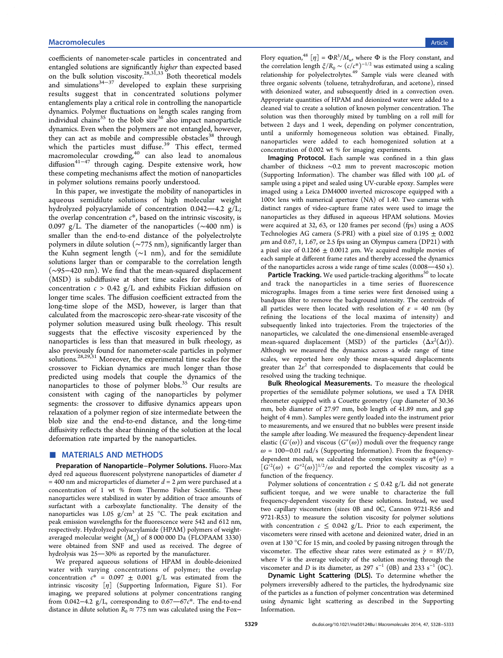coefficients of nanometer-scale particles in concentrated and entangled solutions are significantly higher than expected based on the bulk solution viscosity.<sup>28,31,33</sup> Both theoretical models and simulations<sup>34−37</sup> developed to explain these surprising results suggest that in co[ncentra](#page-5-0)ted solutions polymer entanglements p[lay a c](#page-5-0)ritical role in controlling the nanoparticle dynamics. Polymer fluctuations on length scales ranging from individual chains<sup>35</sup> to the blob size<sup>36</sup> also impact nanoparticle dynamics. Even when the polymers are not entangled, however, they can act as [m](#page-5-0)obile and comp[res](#page-5-0)sible obstacles<sup>38</sup> through which the particles must diffuse.<sup>39</sup> This effect, termed which the particles  $\frac{1}{2}$  can also lead to [an](#page-5-0)omalous diffusion<sup>41−47</sup> through caging. Desp[ite](#page-5-0) extensive work, how these competing mechanis[ms a](#page-5-0)ffect the motion of nanoparticles in poly[mer so](#page-5-0)lutions remains poorly understood.

In this paper, we investigate the mobility of nanoparticles in aqueous semidilute solutions of high molecular weight hydrolyzed polyacrylamide of concentration  $0.042-4.2$  g/L; the overlap concentration  $c^*$ , based on the intrinsic viscosity, is 0.097 g/L. The diameter of the nanoparticles (∼400 nm) is smaller than the end-to-end distance of the polyelectrolyte polymers in dilute solution (∼775 nm), significantly larger than the Kuhn segment length (∼1 nm), and for the semidilute solutions larger than or comparable to the correlation length (∼95−420 nm). We find that the mean-squared displacement (MSD) is subdiffusive at short time scales for solutions of concentration  $c > 0.42$  g/L and exhibits Fickian diffusion on longer time scales. The diffusion coefficient extracted from the long-time slope of the MSD, however, is larger than that calculated from the macroscopic zero-shear-rate viscosity of the polymer solution measured using bulk rheology. This result suggests that the effective viscosity experienced by the nanoparticles is less than that measured in bulk rheology, as also previously found for nanometer-scale particles in polymer solutions.<sup>28,29,31</sup> Moreover, the experimental time scales for the crossover to Fickian dynamics are much longer than those predicted [using](#page-5-0) models that couple the dynamics of the nanoparticles to those of polymer blobs.<sup>35</sup> Our results are consistent with caging of the nanoparticles by polymer segments: the crossover to diffusive dyna[m](#page-5-0)ics appears upon relaxation of a polymer region of size intermediate between the blob size and the end-to-end distance, and the long-time diffusivity reflects the shear thinning of the solution at the local deformation rate imparted by the nanoparticles.

### ■ MATERIALS AND METHODS

Preparation of Nanoparticle−Polymer Solutions. Fluoro-Max dyed red aqueous fluorescent polystyrene nanoparticles of diameter d = 400 nm and microparticles of diameter  $d = 2 \mu m$  were purchased at a concentration of 1 wt % from Thermo Fisher Scientific. These nanoparticles were stabilized in water by addition of trace amounts of surfactant with a carboxylate functionality. The density of the nanoparticles was 1.05  $g/cm<sup>3</sup>$  at 25 °C. The peak excitation and peak emission wavelengths for the fluorescence were 542 and 612 nm, respectively. Hydrolyzed polyacrylamide (HPAM) polymers of weightaveraged molecular weight  $(M_w)$  of 8 000 000 Da (FLOPAAM 3330) were obtained from SNF and used as received. The degree of hydrolysis was 25-30% as reported by the manufacturer.

We prepared aqueous solutions of HPAM in double-deionized water with varying concentrations of polymer; the overlap concentration  $c^* = 0.097 \pm 0.001$  g/L was estimated from the intrinsic viscosity  $[\eta]$  (Supporting Information, Figure S1). For imaging, we prepared solutions at polymer concentrations ranging from 0.042−4.2 g/L, corresponding to 0.67–67 $c^*$ . The end-to-end distance in dilute solution  $R_0 \approx 775$  nm was calculated using the Fox−

Flory equation,<sup>48</sup>  $[\eta] = \Phi R^3 / M_{\text{w}}$ , where  $\Phi$  is the Flory constant, and the correlation length  $\xi/R_0 \sim (c/c^*)^{-1/2}$  was estimated using a scaling [r](#page-5-0)elationship for polyelectrolytes.<sup>49</sup> Sample vials were cleaned with three organic solvents (toluene, tetrahydrofuran, and acetone), rinsed with deionized water, and subse[qu](#page-5-0)ently dried in a convection oven. Appropriate quantities of HPAM and deionized water were added to a cleaned vial to create a solution of known polymer concentration. The solution was then thoroughly mixed by tumbling on a roll mill for between 2 days and 1 week, depending on polymer concentration, until a uniformly homogeneous solution was obtained. Finally, nanoparticles were added to each homogenized solution at a concentration of 0.002 wt % for imaging experiments.

Imaging Protocol. Each sample was confined in a thin glass chamber of thickness ∼0.2 mm to prevent macroscopic motion (Supporting Information). The chamber was filled with 100  $\mu$ L of sample using a pipet and sealed using UV-curable epoxy. Samples were imaged using a Leica DM4000 inverted microscope equipped with a 100× [lens](#page-4-0) [with](#page-4-0) [numerica](#page-4-0)l aperture (NA) of 1.40. Two cameras with distinct ranges of video-capture frame rates were used to image the nanoparticles as they diffused in aqueous HPAM solutions. Movies were acquired at 32, 63, or 120 frames per second (fps) using a AOS Technologies AG camera (S-PRI) with a pixel size of  $0.195 \pm 0.002$  $\mu$ m and 0.67, 1, 1.67, or 2.5 fps using an Olympus camera (DP21) with a pixel size of 0.1266  $\pm$  0.0012  $\mu$ m. We acquired multiple movies of each sample at different frame rates and thereby accessed the dynamics of the nanoparticles across a wide range of time scales  $(0.008-450 s)$ .

**Particle Tracking.** We used particle-tracking algorithms<sup>50</sup> to locate and track the nanoparticles in a time series of fluorescence micrographs. Images from a time series were first denoi[sed](#page-5-0) using a bandpass filter to remove the background intensity. The centroids of all particles were then located with resolution of  $\varepsilon = 40$  nm (by refining the locations of the local maxima of intensity) and subsequently linked into trajectories. From the trajectories of the nanoparticles, we calculated the one-dimensional ensemble-averaged mean-squared displacement (MSD) of the particles  $\langle \Delta x^2(\Delta t) \rangle$ . Although we measured the dynamics across a wide range of time scales, we reported here only those mean-squared displacements greater than  $2e^2$  that corresponded to displacements that could be resolved using the tracking technique.

Bulk Rheological Measurements. To measure the rheological properties of the semidilute polymer solutions, we used a TA DHR rheometer equipped with a Couette geometry (cup diameter of 30.36 mm, bob diameter of 27.97 mm, bob length of 41.89 mm, and gap height of 4 mm). Samples were gently loaded into the instrument prior to measurements, and we ensured that no bubbles were present inside the sample after loading. We measured the frequency-dependent linear elastic  $(G'(\omega))$  and viscous  $(G''(\omega))$  moduli over the frequency range  $\omega$  = 100–0.01 rad/s (Supporting Information). From the frequencydependent moduli, we calculated the complex viscosity as  $\eta^*(\omega)$  =  $[G^{\prime 2}(\omega) + G^{\prime\prime 2}(\omega)]^{1/2}/\omega$  [and reported the c](#page-4-0)omplex viscosity as a function of the frequency.

Polymer solutions of concentration  $c \leq 0.42$  g/L did not generate sufficient torque, and we were unable to characterize the full frequency-dependent viscosity for these solutions. Instead, we used two capillary viscometers (sizes 0B and 0C, Cannon 9721-R56 and 9721-R53) to measure the solution viscosity for polymer solutions with concentration  $c \leq 0.042$  g/L. Prior to each experiment, the viscometers were rinsed with acetone and deionized water, dried in an oven at 130 °C for 15 min, and cooled by passing nitrogen through the viscometer. The effective shear rates were estimated as  $\dot{\gamma} = 8V/D$ , where  $V$  is the average velocity of the solution moving through the viscometer and D is its diameter, as 297 s<sup>-1</sup> (0B) and 233 s<sup>-1</sup> (0C).

Dynamic Light Scattering (DLS). To determine whether the polymers irreversibly adhered to the particles, the hydrodynamic size of the particles as a function of polymer concentration was determined using dynamic light scattering as described in the Supporting Information.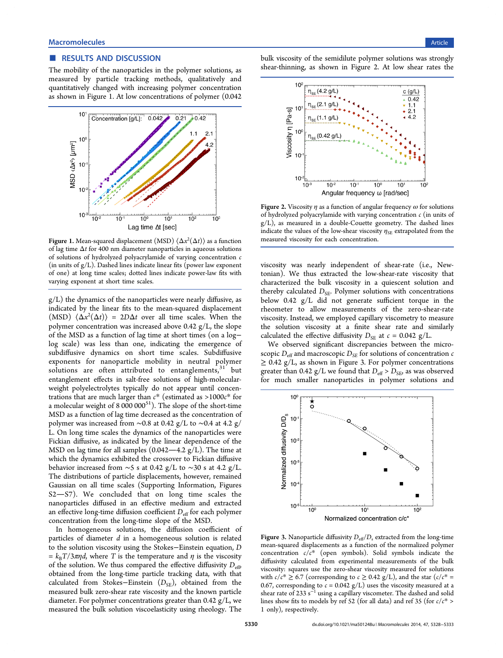#### <span id="page-2-0"></span>■ RESULTS AND DISCUSSION

The mobility of the nanoparticles in the polymer solutions, as measured by particle tracking methods, qualitatively and quantitatively changed with increasing polymer concentration as shown in Figure 1. At low concentrations of polymer (0.042



Figure 1. Mean-squared displacement (MSD)  $\langle\Delta x^2(\Delta t)\rangle$  as a function of lag time  $\Delta t$  for 400 nm diameter nanoparticles in aqueous solutions of solutions of hydrolyzed polyacrylamide of varying concentration c (in units of  $g/L$ ). Dashed lines indicate linear fits (power law exponent of one) at long time scales; dotted lines indicate power-law fits with varying exponent at short time scales.

g/L) the dynamics of the nanoparticles were nearly diffusive, as indicated by the linear fits to the mean-squared displacement (MSD)  $\langle \Delta x^2(\Delta t) \rangle = 2D\Delta t$  over all time scales. When the polymer concentration was increased above 0.42 g/L, the slope of the MSD as a function of lag time at short times (on a log− log scale) was less than one, indicating the emergence of subdiffusive dynamics on short time scales. Subdiffusive exponents for nanoparticle mobility in neutral polymer solutions are often attributed to entanglements, $31$  but entanglement effects in salt-free solutions of high-molecularweight polyelectrolytes typically do not appear until [con](#page-5-0)centrations that are much larger than  $c^*$  (estimated as >1000 $c^*$  for a molecular weight of  $8\,000\,000^{51}$ ). The slope of the short-time MSD as a function of lag time decreased as the concentration of polymer was increased from ∼[0.8](#page-5-0) at 0.42 g/L to ∼0.4 at 4.2 g/ L. On long time scales the dynamics of the nanoparticles were Fickian diffusive, as indicated by the linear dependence of the MSD on lag time for all samples  $(0.042 - 4.2 \text{ g/L})$ . The time at which the dynamics exhibited the crossover to Fickian diffusive behavior increased from ∼5 s at 0.42 g/L to ∼30 s at 4.2 g/L. The distributions of particle displacements, however, remained Gaussian on all time scales (Supporting Information, Figures  $S2-S7$ ). We concluded that on long time scales the nanoparticles diffused in an eff[ective medium and e](#page-4-0)xtracted an effective long-time diffusion coefficient  $D_{\text{eff}}$  for each polymer concentration from the long-time slope of the MSD.

In homogeneous solutions, the diffusion coefficient of particles of diameter  $d$  in a homogeneous solution is related to the solution viscosity using the Stokes−Einstein equation, D =  $k_{\text{B}}T/3\pi\eta d$ , where T is the temperature and  $\eta$  is the viscosity of the solution. We thus compared the effective diffusivity  $D_{\text{eff}}$ , obtained from the long-time particle tracking data, with that calculated from Stokes–Einstein  $(D_{SE})$ , obtained from the measured bulk zero-shear rate viscosity and the known particle diameter. For polymer concentrations greater than  $0.42$  g/L, we measured the bulk solution viscoelasticity using rheology. The

bulk viscosity of the semidilute polymer solutions was strongly shear-thinning, as shown in Figure 2. At low shear rates the



Figure 2. Viscosity  $\eta$  as a function of angular frequency  $\omega$  for solutions of hydrolyzed polyacrylamide with varying concentration  $c$  (in units of  $g/L$ ), as measured in a double-Couette geometry. The dashed lines indicate the values of the low-shear viscosity  $\eta_{SE}$  extrapolated from the measured viscosity for each concentration.

viscosity was nearly independent of shear-rate (i.e., Newtonian). We thus extracted the low-shear-rate viscosity that characterized the bulk viscosity in a quiescent solution and thereby calculated  $D_{SE}$ . Polymer solutions with concentrations below 0.42 g/L did not generate sufficient torque in the rheometer to allow measurements of the zero-shear-rate viscosity. Instead, we employed capillary viscometry to measure the solution viscosity at a finite shear rate and similarly calculated the effective diffusivity  $D_{SE}$  at  $c = 0.042$  g/L.

We observed significant discrepancies between the microscopic  $D_{\text{eff}}$  and macroscopic  $D_{\text{SE}}$  for solutions of concentration c  $\geq$  0.42 g/L, as shown in Figure 3. For polymer concentrations greater than 0.42 g/L we found that  $D_{\text{eff}}$  >  $D_{\text{SE}}$  as was observed for much smaller nanoparticles in polymer solutions and



Figure 3. Nanoparticle diffusivity  $D_{\rm eff}/D_{\rm s}$  extracted from the long-time mean-squared displacements as a function of the normalized polymer concentration  $c/c^*$  (open symbols). Solid symbols indicate the diffusivity calculated from experimental measurements of the bulk viscosity: squares use the zero-shear viscosity measured for solutions with  $c/c^* \geq 6.7$  (corresponding to  $c \geq 0.42$  g/L), and the star ( $c/c^* =$ 0.67, corresponding to  $c = 0.042$  g/L) uses the viscosity measured at a shear rate of 233 s<sup> $^{-1}$ </sup> using a capillary viscometer. The dashed and solid lines show fits to models by ref 52 (for all data) and ref 35 (for  $c/c^*$  > 1 only), respectively.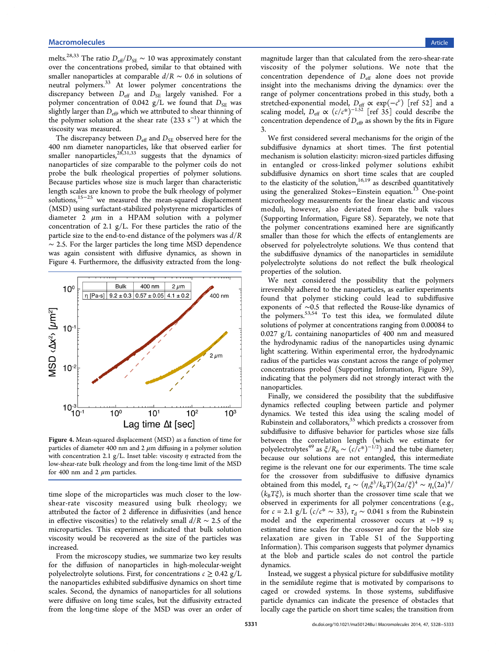melts.<sup>28,33</sup> The ratio  $D_{\text{eff}}/D_{\text{SE}} \sim 10$  was approximately constant over the concentrations probed, similar to that obtained with small[er na](#page-5-0)noparticles at comparable  $d/R \sim 0.6$  in solutions of neutral polymers.<sup>33</sup> At lower polymer concentrations the discrepancy between  $D_{\text{eff}}$  and  $D_{\text{SE}}$  largely vanished. For a polymer concentr[ati](#page-5-0)on of 0.042  $g/L$  we found that  $D_{SE}$  was slightly larger than  $D_{\text{eff}}$ , which we attributed to shear thinning of the polymer solution at the shear rate  $(233 s<sup>-1</sup>)$  at which the viscosity was measured.

The discrepancy between  $D_{\text{eff}}$  and  $D_{\text{SE}}$  observed here for the 400 nm diameter nanoparticles, like that observed earlier for smaller nanoparticles, $^{28,31,33}$  suggests that the dynamics of nanoparticles of size comparable to the polymer coils do not probe the bulk rheo[logical](#page-5-0) properties of polymer solutions. Because particles whose size is much larger than characteristic length scales are known to probe the bulk rheology of polymer solutions,15−<sup>25</sup> we measured the mean-squared displacement (MSD) using surfactant-stabilized polystyrene microparticles of diameter [2](#page-5-0)  $\mu$ m in a HPAM solution with a polymer concentration of 2.1  $g/L$ . For these particles the ratio of the particle size to the end-to-end distance of the polymers was  $d/R$ ∼ 2.5. For the larger particles the long time MSD dependence was again consistent with diffusive dynamics, as shown in Figure 4. Furthermore, the diffusivity extracted from the long-



Figure 4. Mean-squared displacement (MSD) as a function of time for particles of diameter 400 nm and  $2 \mu m$  diffusing in a polymer solution with concentration 2.1 g/L. Inset table: viscosity  $\eta$  extracted from the low-shear-rate bulk rheology and from the long-time limit of the MSD for 400 nm and 2  $\mu$ m particles.

time slope of the microparticles was much closer to the lowshear-rate viscosity measured using bulk rheology; we attributed the factor of 2 difference in diffusivities (and hence in effective viscosities) to the relatively small  $d/R \sim 2.5$  of the microparticles. This experiment indicated that bulk solution viscosity would be recovered as the size of the particles was increased.

From the microscopy studies, we summarize two key results for the diffusion of nanoparticles in high-molecular-weight polyelectrolyte solutions. First, for concentrations  $c \geq 0.42$  g/L the nanoparticles exhibited subdiffusive dynamics on short time scales. Second, the dynamics of nanoparticles for all solutions were diffusive on long time scales, but the diffusivity extracted from the long-time slope of the MSD was over an order of magnitude larger than that calculated from the zero-shear-rate viscosity of the polymer solutions. We note that the concentration dependence of  $D_{\text{eff}}$  alone does not provide insight into the mechanisms driving the dynamics: over the range of polymer concentrations probed in this study, both a stretched-exponential model,  $D_{\text{eff}} \propto \exp(-c^{\nu})$  [ref 52] and a scaling model,  $D_{\text{eff}} \propto (c/c^*)^{-1.52}$  [ref 35] could describe the concentration dependence of  $D_{\text{eff}}$ , as shown by the fit[s in](#page-5-0) Figure 3.

We first considered several mechani[sms](#page-5-0) for the origin of the [su](#page-2-0)bdiffusive dynamics at short times. The first potential mechanism is solution elasticity: micron-sized particles diffusing in entangled or cross-linked polymer solutions exhibit subdiffusive dynamics on short time scales that are coupled to the elasticity of the solution, $16,19$  as described quantitatively using the generalized Stokes–Einstein equation.<sup>13</sup> One-point microrheology measurements f[or th](#page-5-0)e linear elastic and viscous moduli, however, also deviated from the [bu](#page-4-0)lk values (Supporting Information, Figure S8). Separately, we note that the polymer concentrations examined here are significantly s[maller than those for w](#page-4-0)hich the effects of entanglements are observed for polyelectrolyte solutions. We thus contend that the subdiffusive dynamics of the nanoparticles in semidilute polyelectrolyte solutions do not reflect the bulk rheological properties of the solution.

We next considered the possibility that the polymers irreversibly adhered to the nanoparticles, as earlier experiments found that polymer sticking could lead to subdiffusive exponents of ∼0.5 that reflected the Rouse-like dynamics of the polymers.<sup>53,54</sup> To test this idea, we formulated dilute solutions of polymer at concentrations ranging from 0.00084 to 0.027 g/L co[ntain](#page-5-0)ing nanoparticles of 400 nm and measured the hydrodynamic radius of the nanoparticles using dynamic light scattering. Within experimental error, the hydrodynamic radius of the particles was constant across the range of polymer concentrations probed (Supporting Information, Figure S9), indicating that the polymers did not strongly interact with the nanoparticles.

Finally, we considere[d](#page-4-0) [the](#page-4-0) [possibility](#page-4-0) [that](#page-4-0) [the](#page-4-0) subdiffusive dynamics reflected coupling between particle and polymer dynamics. We tested this idea using the scaling model of Rubinstein and collaborators, $35$  which predicts a crossover from subdiffusive to diffusive behavior for particles whose size falls between the correlation l[en](#page-5-0)gth (which we estimate for polyelectrolytes<sup>49</sup> as  $\xi/R_0 \sim (c/c^*)^{-1/2}$  and the tube diameter; because our solutions are not entangled, this intermediate regime is the r[ele](#page-5-0)vant one for our experiments. The time scale for the crossover from subdiffusive to diffusive dynamics obtained from this model,  $\tau_d \sim (\eta_s \xi^3 / k_B T) (2a/\xi)^4 \sim \eta_s (2a)^4/$  $(k_{\rm B}T\zeta)$ , is much shorter than the crossover time scale that we observed in experiments for all polymer concentrations (e.g., for *c* = 2.1 g/L ( $c/c^* \sim 33$ ),  $\tau_d \sim 0.041$  s from the Rubinstein model and the experimental crossover occurs at ∼19 s; estimated time scales for the crossover and for the blob size relaxation are given in Table S1 of the Supporting Information). This comparison suggests that polymer dynamics at the blob and particle scales do not control [the particle](#page-4-0) [dynamics.](#page-4-0)

Instead, we suggest a physical picture for subdiffusive motility in the semidilute regime that is motivated by comparisons to caged or crowded systems. In those systems, subdiffusive particle dynamics can indicate the presence of obstacles that locally cage the particle on short time scales; the transition from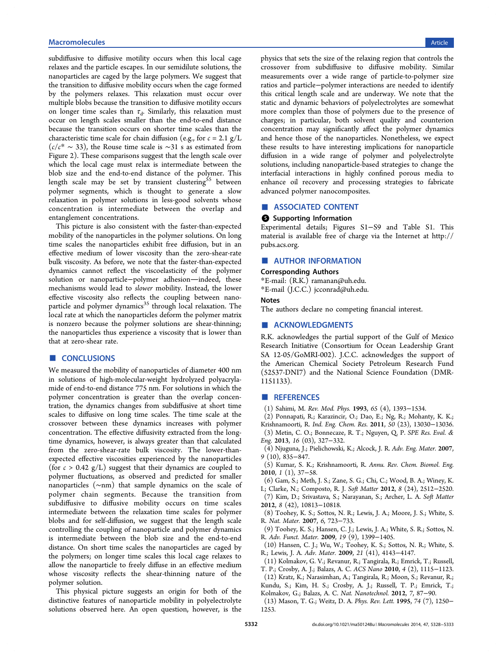<span id="page-4-0"></span>subdiffusive to diffusive motility occurs when this local cage relaxes and the particle escapes. In our semidilute solutions, the nanoparticles are caged by the large polymers. We suggest that the transition to diffusive mobility occurs when the cage formed by the polymers relaxes. This relaxation must occur over multiple blobs because the transition to diffusive motility occurs on longer time scales than  $\tau_d$ . Similarly, this relaxation must occur on length scales smaller than the end-to-end distance because the transition occurs on shorter time scales than the characteristic time scale for chain diffusion (e.g., for  $c = 2.1$  g/L  $(c/c^* \sim 33)$ , the Rouse time scale is ∼31 s as estimated from Figure 2). These comparisons suggest that the length scale over which the local cage must relax is intermediate between the blob s[ize](#page-2-0) and the end-to-end distance of the polymer. This length scale may be set by transient clustering<sup>55</sup> between polymer segments, which is thought to generate a slow relaxation in polymer solutions in less-good sol[ven](#page-5-0)ts whose concentration is intermediate between the overlap and entanglement concentrations.

This picture is also consistent with the faster-than-expected mobility of the nanoparticles in the polymer solutions. On long time scales the nanoparticles exhibit free diffusion, but in an effective medium of lower viscosity than the zero-shear-rate bulk viscosity. As before, we note that the faster-than-expected dynamics cannot reflect the viscoelasticity of the polymer solution or nanoparticle−polymer adhesion—indeed, these mechanisms would lead to slower mobility. Instead, the lower effective viscosity also reflects the coupling between nanoparticle and polymer dynamics $35$  through local relaxation. The local rate at which the nanoparticles deform the polymer matrix is nonzero because the polym[er](#page-5-0) solutions are shear-thinning; the nanoparticles thus experience a viscosity that is lower than that at zero-shear rate.

## ■ CONCLUSIONS

We measured the mobility of nanoparticles of diameter 400 nm in solutions of high-molecular-weight hydrolyzed polyacrylamide of end-to-end distance 775 nm. For solutions in which the polymer concentration is greater than the overlap concentration, the dynamics changes from subdiffusive at short time scales to diffusive on long time scales. The time scale at the crossover between these dynamics increases with polymer concentration. The effective diffusivity extracted from the longtime dynamics, however, is always greater than that calculated from the zero-shear-rate bulk viscosity. The lower-thanexpected effective viscosities experienced by the nanoparticles (for  $c > 0.42$  g/L) suggest that their dynamics are coupled to polymer fluctuations, as observed and predicted for smaller nanoparticles (∼nm) that sample dynamics on the scale of polymer chain segments. Because the transition from subdiffusive to diffusive mobility occurs on time scales intermediate between the relaxation time scales for polymer blobs and for self-diffusion, we suggest that the length scale controlling the coupling of nanoparticle and polymer dynamics is intermediate between the blob size and the end-to-end distance. On short time scales the nanoparticles are caged by the polymers; on longer time scales this local cage relaxes to allow the nanoparticle to freely diffuse in an effective medium whose viscosity reflects the shear-thinning nature of the polymer solution.

This physical picture suggests an origin for both of the distinctive features of nanoparticle mobility in polyelectrolyte solutions observed here. An open question, however, is the

physics that sets the size of the relaxing region that controls the crossover from subdiffusive to diffusive mobility. Similar measurements over a wide range of particle-to-polymer size ratios and particle−polymer interactions are needed to identify this critical length scale and are underway. We note that the static and dynamic behaviors of polyelectrolytes are somewhat more complex than those of polymers due to the presence of charges; in particular, both solvent quality and counterion concentration may significantly affect the polymer dynamics and hence those of the nanoparticles. Nonetheless, we expect these results to have interesting implications for nanoparticle diffusion in a wide range of polymer and polyelectrolyte solutions, including nanoparticle-based strategies to change the interfacial interactions in highly confined porous media to enhance oil recovery and processing strategies to fabricate advanced polymer nanocomposites.

#### ■ ASSOCIATED CONTENT

#### **8** Supporting Information

Experimental details; Figures S1−S9 and Table S1. This material is available free of charge via the Internet at http:// pubs.acs.org.

# ■ AUTHOR INFORMATION

#### [Correspond](http://pubs.acs.org)ing Authors

\*E-mail: (R.K.) ramanan@uh.edu.

\*E-mail (J.C.C.) jcconrad@uh.edu.

#### Notes

The authors de[cl](mailto:ramanan@uh.edu)[are no competing](mailto:jcconrad@uh.edu) financial interest.

#### ■ ACKNOWLEDGMENTS

R.K. acknowledges the partial support of the Gulf of Mexico Research Initiative (Consortium for Ocean Leadership Grant SA 12-05/GoMRI-002). J.C.C. acknowledges the support of the American Chemical Society Petroleum Research Fund (52537-DNI7) and the National Science Foundation (DMR-1151133).

#### ■ REFERENCES

- (1) Sahimi, M. Rev. Mod. Phys. 1993, 65 (4), 1393−1534.
- (2) Ponnapati, R.; Karazincir, O.; Dao, E.; Ng, R.; Mohanty, K. K.; Krishnamoorti, R. Ind. Eng. Chem. Res. 2011, 50 (23), 13030−13036. (3) Metin, C. O.; Bonnecaze, R. T.; Nguyen, Q. P. SPE Res. Eval. &
- Eng. 2013, 16 (03), 327−332. (4) Njuguna, J.; Pielichowski, K.; Alcock, J. R. Adv. Eng. Mater. 2007,

9 (10), 835−847.

(5) Kumar, S. K.; Krishnamoorti, R. Annu. Rev. Chem. Biomol. Eng. 2010, 1 (1), 37−58.

(6) Gam, S.; Meth, J. S.; Zane, S. G.; Chi, C.; Wood, B. A.; Winey, K.

I.; Clarke, N.; Composto, R. J. Soft Matter 2012, 8 (24), 2512−2520.

(7) Kim, D.; Srivastava, S.; Narayanan, S.; Archer, L. A. Soft Matter 2012, 8 (42), 10813−10818.

(8) Toohey, K. S.; Sottos, N. R.; Lewis, J. A.; Moore, J. S.; White, S. R. Nat. Mater. 2007, 6, 723−733.

(9) Toohey, K. S.; Hansen, C. J.; Lewis, J. A.; White, S. R.; Sottos, N. R. Adv. Funct. Mater. 2009, 19 (9), 1399−1405.

(10) Hansen, C. J.; Wu, W.; Toohey, K. S.; Sottos, N. R.; White, S. R.; Lewis, J. A. Adv. Mater. 2009, 21 (41), 4143−4147.

(11) Kolmakov, G. V.; Revanur, R.; Tangirala, R.; Emrick, T.; Russell, T. P.; Crosby, A. J.; Balazs, A. C. ACS Nano 2010, 4 (2), 1115−1123.

(12) Kratz, K.; Narasimhan, A.; Tangirala, R.; Moon, S.; Revanur, R.; Kundu, S.; Kim, H. S.; Crosby, A. J.; Russell, T. P.; Emrick, T.; Kolmakov, G.; Balazs, A. C. Nat. Nanotechnol. 2012, 7, 87−90.

(13) Mason, T. G.; Weitz, D. A. Phys. Rev. Lett. 1995, 74 (7), 1250− 1253.